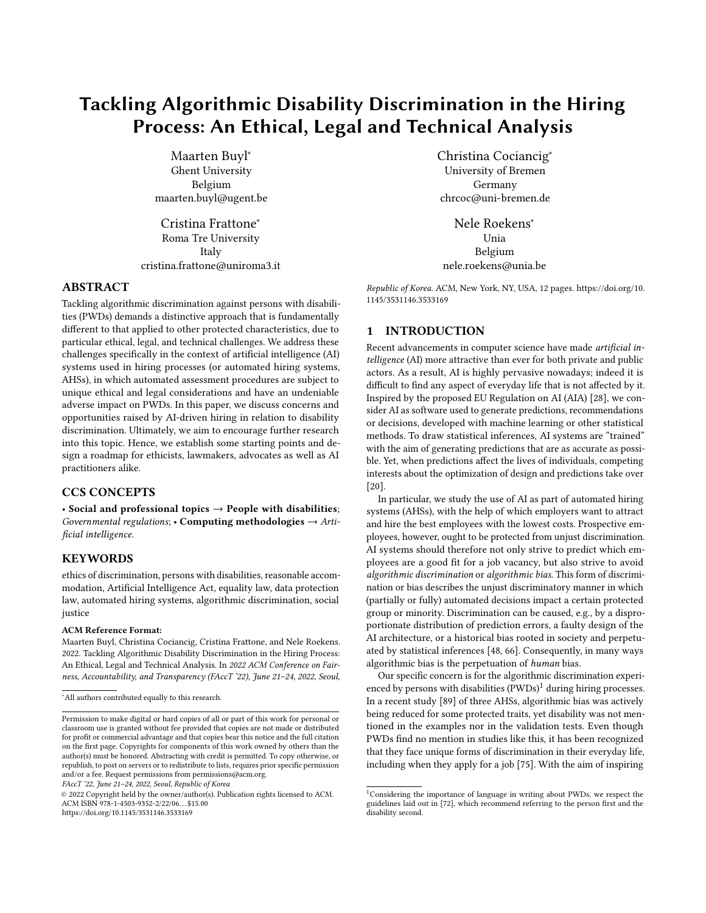# Tackling Algorithmic Disability Discrimination in the Hiring Process: An Ethical, Legal and Technical Analysis

[Maarten Buyl](https://orcid.org/0000-0002-5434-2386)<sup>∗</sup> Ghent University Belgium maarten.buyl@ugent.be

[Cristina Frattone](https://orcid.org/0000-0003-1734-243X)<sup>∗</sup> Roma Tre University Italy cristina.frattone@uniroma3.it

### ABSTRACT

Tackling algorithmic discrimination against persons with disabilities (PWDs) demands a distinctive approach that is fundamentally different to that applied to other protected characteristics, due to particular ethical, legal, and technical challenges. We address these challenges specifically in the context of artificial intelligence (AI) systems used in hiring processes (or automated hiring systems, AHSs), in which automated assessment procedures are subject to unique ethical and legal considerations and have an undeniable adverse impact on PWDs. In this paper, we discuss concerns and opportunities raised by AI-driven hiring in relation to disability discrimination. Ultimately, we aim to encourage further research into this topic. Hence, we establish some starting points and design a roadmap for ethicists, lawmakers, advocates as well as AI practitioners alike.

#### CCS CONCEPTS

• Social and professional topics  $\rightarrow$  People with disabilities; Governmental regulations;  $\cdot$  Computing methodologies  $\rightarrow$  Artificial intelligence.

## **KEYWORDS**

ethics of discrimination, persons with disabilities, reasonable accommodation, Artificial Intelligence Act, equality law, data protection law, automated hiring systems, algorithmic discrimination, social justice

#### ACM Reference Format:

Maarten Buyl, Christina Cociancig, Cristina Frattone, and Nele Roekens. 2022. Tackling Algorithmic Disability Discrimination in the Hiring Process: An Ethical, Legal and Technical Analysis. In 2022 ACM Conference on Fairness, Accountability, and Transparency (FAccT '22), June 21–24, 2022, Seoul,

FAccT '22, June 21–24, 2022, Seoul, Republic of Korea

© 2022 Copyright held by the owner/author(s). Publication rights licensed to ACM. ACM ISBN 978-1-4503-9352-2/22/06. . . \$15.00 <https://doi.org/10.1145/3531146.3533169>

[Christina Cociancig](https://orcid.org/0000-0002-5645-6432)<sup>∗</sup> University of Bremen Germany chrcoc@uni-bremen.de

[Nele Roekens](https://orcid.org/0000-0002-1975-1758)<sup>∗</sup> Unia Belgium nele.roekens@unia.be

Republic of Korea. ACM, New York, NY, USA, [12](#page-11-0) pages. [https://doi.org/10.](https://doi.org/10.1145/3531146.3533169) [1145/3531146.3533169](https://doi.org/10.1145/3531146.3533169)

## 1 INTRODUCTION

Recent advancements in computer science have made artificial intelligence (AI) more attractive than ever for both private and public actors. As a result, AI is highly pervasive nowadays; indeed it is difficult to find any aspect of everyday life that is not affected by it. Inspired by the proposed EU Regulation on AI (AIA) [\[28\]](#page-9-0), we consider AI as software used to generate predictions, recommendations or decisions, developed with machine learning or other statistical methods. To draw statistical inferences, AI systems are "trained" with the aim of generating predictions that are as accurate as possible. Yet, when predictions affect the lives of individuals, competing interests about the optimization of design and predictions take over [\[20\]](#page-9-1).

In particular, we study the use of AI as part of automated hiring systems (AHSs), with the help of which employers want to attract and hire the best employees with the lowest costs. Prospective employees, however, ought to be protected from unjust discrimination. AI systems should therefore not only strive to predict which employees are a good fit for a job vacancy, but also strive to avoid algorithmic discrimination or algorithmic bias. This form of discrimination or bias describes the unjust discriminatory manner in which (partially or fully) automated decisions impact a certain protected group or minority. Discrimination can be caused, e.g., by a disproportionate distribution of prediction errors, a faulty design of the AI architecture, or a historical bias rooted in society and perpetuated by statistical inferences [\[48,](#page-10-0) [66\]](#page-10-1). Consequently, in many ways algorithmic bias is the perpetuation of human bias.

Our specific concern is for the algorithmic discrimination experienced by persons with disabilities  $(PWDs)^1$  $(PWDs)^1$  during hiring processes. In a recent study [\[89\]](#page-11-1) of three AHSs, algorithmic bias was actively being reduced for some protected traits, yet disability was not mentioned in the examples nor in the validation tests. Even though PWDs find no mention in studies like this, it has been recognized that they face unique forms of discrimination in their everyday life, including when they apply for a job [\[75\]](#page-10-2). With the aim of inspiring

<sup>∗</sup>All authors contributed equally to this research.

Permission to make digital or hard copies of all or part of this work for personal or classroom use is granted without fee provided that copies are not made or distributed for profit or commercial advantage and that copies bear this notice and the full citation on the first page. Copyrights for components of this work owned by others than the author(s) must be honored. Abstracting with credit is permitted. To copy otherwise, or republish, to post on servers or to redistribute to lists, requires prior specific permission and/or a fee. Request permissions from permissions@acm.org.

<span id="page-0-0"></span><sup>1</sup>Considering the importance of language in writing about PWDs, we respect the guidelines laid out in [\[72\]](#page-10-3), which recommend referring to the person first and the disability second.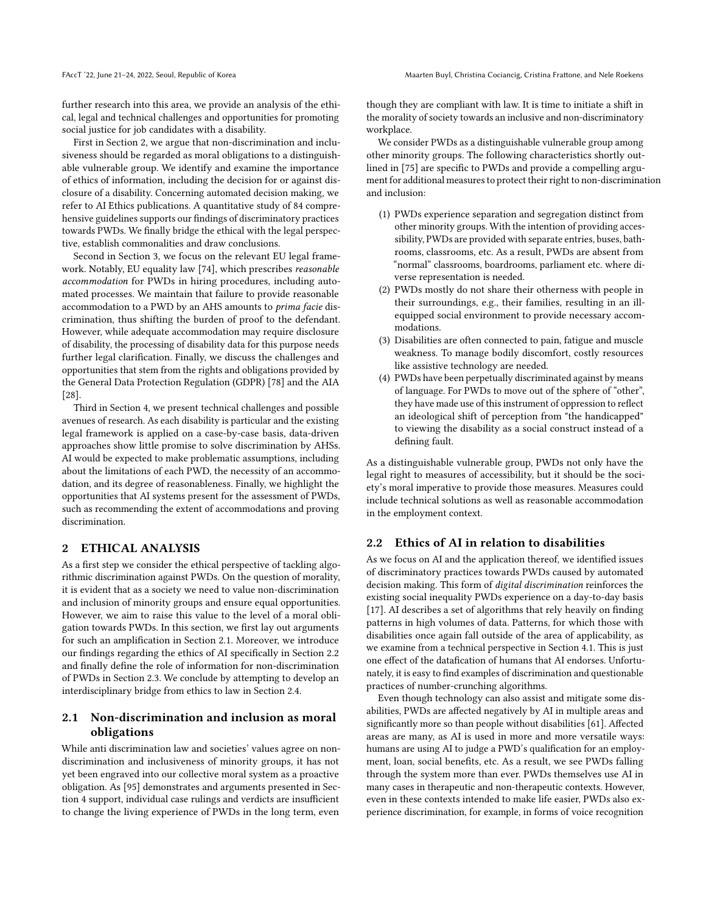further research into this area, we provide an analysis of the ethical, legal and technical challenges and opportunities for promoting social justice for job candidates with a disability.

First in Section [2,](#page-1-0) we argue that non-discrimination and inclusiveness should be regarded as moral obligations to a distinguishable vulnerable group. We identify and examine the importance of ethics of information, including the decision for or against disclosure of a disability. Concerning automated decision making, we refer to AI Ethics publications. A quantitative study of 84 comprehensive guidelines supports our findings of discriminatory practices towards PWDs. We finally bridge the ethical with the legal perspective, establish commonalities and draw conclusions.

Second in Section [3,](#page-2-0) we focus on the relevant EU legal framework. Notably, EU equality law [\[74\]](#page-10-4), which prescribes reasonable accommodation for PWDs in hiring procedures, including automated processes. We maintain that failure to provide reasonable accommodation to a PWD by an AHS amounts to prima facie discrimination, thus shifting the burden of proof to the defendant. However, while adequate accommodation may require disclosure of disability, the processing of disability data for this purpose needs further legal clarification. Finally, we discuss the challenges and opportunities that stem from the rights and obligations provided by the General Data Protection Regulation (GDPR) [\[78\]](#page-10-5) and the AIA [\[28\]](#page-9-0).

Third in Section [4,](#page-6-0) we present technical challenges and possible avenues of research. As each disability is particular and the existing legal framework is applied on a case-by-case basis, data-driven approaches show little promise to solve discrimination by AHSs. AI would be expected to make problematic assumptions, including about the limitations of each PWD, the necessity of an accommodation, and its degree of reasonableness. Finally, we highlight the opportunities that AI systems present for the assessment of PWDs, such as recommending the extent of accommodations and proving discrimination.

## <span id="page-1-0"></span>2 ETHICAL ANALYSIS

As a first step we consider the ethical perspective of tackling algorithmic discrimination against PWDs. On the question of morality, it is evident that as a society we need to value non-discrimination and inclusion of minority groups and ensure equal opportunities. However, we aim to raise this value to the level of a moral obligation towards PWDs. In this section, we first lay out arguments for such an amplification in Section [2.1.](#page-1-1) Moreover, we introduce our findings regarding the ethics of AI specifically in Section [2.2](#page-1-2) and finally define the role of information for non-discrimination of PWDs in Section [2.3.](#page-2-1) We conclude by attempting to develop an interdisciplinary bridge from ethics to law in Section [2.4.](#page-2-2)

## <span id="page-1-1"></span>2.1 Non-discrimination and inclusion as moral obligations

While anti discrimination law and societies' values agree on nondiscrimination and inclusiveness of minority groups, it has not yet been engraved into our collective moral system as a proactive obligation. As [\[95\]](#page-11-2) demonstrates and arguments presented in Section [4](#page-6-0) support, individual case rulings and verdicts are insufficient to change the living experience of PWDs in the long term, even

though they are compliant with law. It is time to initiate a shift in the morality of society towards an inclusive and non-discriminatory workplace.

We consider PWDs as a distinguishable vulnerable group among other minority groups. The following characteristics shortly outlined in [\[75\]](#page-10-2) are specific to PWDs and provide a compelling argument for additional measures to protect their right to non-discrimination and inclusion:

- (1) PWDs experience separation and segregation distinct from other minority groups. With the intention of providing accessibility, PWDs are provided with separate entries, buses, bathrooms, classrooms, etc. As a result, PWDs are absent from "normal" classrooms, boardrooms, parliament etc. where diverse representation is needed.
- (2) PWDs mostly do not share their otherness with people in their surroundings, e.g., their families, resulting in an illequipped social environment to provide necessary accommodations.
- (3) Disabilities are often connected to pain, fatigue and muscle weakness. To manage bodily discomfort, costly resources like assistive technology are needed.
- (4) PWDs have been perpetually discriminated against by means of language. For PWDs to move out of the sphere of "other", they have made use of this instrument of oppression to reflect an ideological shift of perception from "the handicapped" to viewing the disability as a social construct instead of a defining fault.

As a distinguishable vulnerable group, PWDs not only have the legal right to measures of accessibility, but it should be the society's moral imperative to provide those measures. Measures could include technical solutions as well as reasonable accommodation in the employment context.

## <span id="page-1-2"></span>2.2 Ethics of AI in relation to disabilities

As we focus on AI and the application thereof, we identified issues of discriminatory practices towards PWDs caused by automated decision making. This form of digital discrimination reinforces the existing social inequality PWDs experience on a day-to-day basis [\[17\]](#page-9-2). AI describes a set of algorithms that rely heavily on finding patterns in high volumes of data. Patterns, for which those with disabilities once again fall outside of the area of applicability, as we examine from a technical perspective in Section [4.1.](#page-6-1) This is just one effect of the datafication of humans that AI endorses. Unfortunately, it is easy to find examples of discrimination and questionable practices of number-crunching algorithms.

Even though technology can also assist and mitigate some disabilities, PWDs are affected negatively by AI in multiple areas and significantly more so than people without disabilities [\[61\]](#page-10-6). Affected areas are many, as AI is used in more and more versatile ways: humans are using AI to judge a PWD's qualification for an employment, loan, social benefits, etc. As a result, we see PWDs falling through the system more than ever. PWDs themselves use AI in many cases in therapeutic and non-therapeutic contexts. However, even in these contexts intended to make life easier, PWDs also experience discrimination, for example, in forms of voice recognition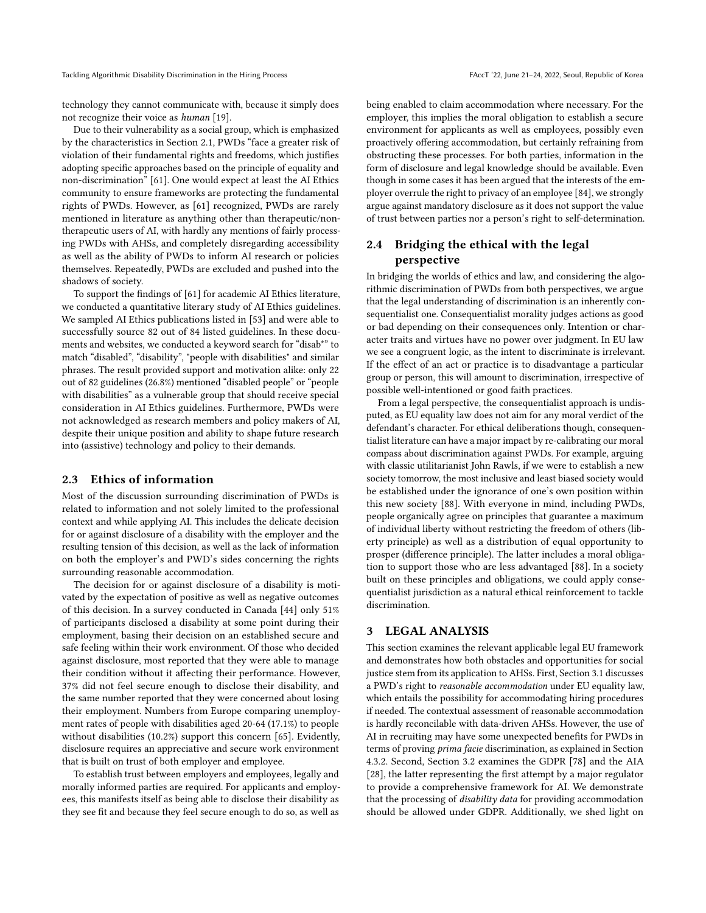technology they cannot communicate with, because it simply does not recognize their voice as human [\[19\]](#page-9-3).

Due to their vulnerability as a social group, which is emphasized by the characteristics in Section [2.1,](#page-1-1) PWDs "face a greater risk of violation of their fundamental rights and freedoms, which justifies adopting specific approaches based on the principle of equality and non-discrimination" [\[61\]](#page-10-6). One would expect at least the AI Ethics community to ensure frameworks are protecting the fundamental rights of PWDs. However, as [\[61\]](#page-10-6) recognized, PWDs are rarely mentioned in literature as anything other than therapeutic/nontherapeutic users of AI, with hardly any mentions of fairly processing PWDs with AHSs, and completely disregarding accessibility as well as the ability of PWDs to inform AI research or policies themselves. Repeatedly, PWDs are excluded and pushed into the shadows of society.

To support the findings of [\[61\]](#page-10-6) for academic AI Ethics literature, we conducted a quantitative literary study of AI Ethics guidelines. We sampled AI Ethics publications listed in [\[53\]](#page-10-7) and were able to successfully source 82 out of 84 listed guidelines. In these documents and websites, we conducted a keyword search for "disab\*" to match "disabled", "disability", "people with disabilities" and similar phrases. The result provided support and motivation alike: only 22 out of 82 guidelines (26.8%) mentioned "disabled people" or "people with disabilities" as a vulnerable group that should receive special consideration in AI Ethics guidelines. Furthermore, PWDs were not acknowledged as research members and policy makers of AI, despite their unique position and ability to shape future research into (assistive) technology and policy to their demands.

#### <span id="page-2-1"></span>2.3 Ethics of information

Most of the discussion surrounding discrimination of PWDs is related to information and not solely limited to the professional context and while applying AI. This includes the delicate decision for or against disclosure of a disability with the employer and the resulting tension of this decision, as well as the lack of information on both the employer's and PWD's sides concerning the rights surrounding reasonable accommodation.

The decision for or against disclosure of a disability is motivated by the expectation of positive as well as negative outcomes of this decision. In a survey conducted in Canada [\[44\]](#page-10-8) only 51% of participants disclosed a disability at some point during their employment, basing their decision on an established secure and safe feeling within their work environment. Of those who decided against disclosure, most reported that they were able to manage their condition without it affecting their performance. However, 37% did not feel secure enough to disclose their disability, and the same number reported that they were concerned about losing their employment. Numbers from Europe comparing unemployment rates of people with disabilities aged 20-64 (17.1%) to people without disabilities (10.2%) support this concern [\[65\]](#page-10-9). Evidently, disclosure requires an appreciative and secure work environment that is built on trust of both employer and employee.

To establish trust between employers and employees, legally and morally informed parties are required. For applicants and employees, this manifests itself as being able to disclose their disability as they see fit and because they feel secure enough to do so, as well as being enabled to claim accommodation where necessary. For the employer, this implies the moral obligation to establish a secure environment for applicants as well as employees, possibly even proactively offering accommodation, but certainly refraining from obstructing these processes. For both parties, information in the form of disclosure and legal knowledge should be available. Even though in some cases it has been argued that the interests of the employer overrule the right to privacy of an employee [\[84\]](#page-11-3), we strongly argue against mandatory disclosure as it does not support the value of trust between parties nor a person's right to self-determination.

## <span id="page-2-2"></span>2.4 Bridging the ethical with the legal perspective

In bridging the worlds of ethics and law, and considering the algorithmic discrimination of PWDs from both perspectives, we argue that the legal understanding of discrimination is an inherently consequentialist one. Consequentialist morality judges actions as good or bad depending on their consequences only. Intention or character traits and virtues have no power over judgment. In EU law we see a congruent logic, as the intent to discriminate is irrelevant. If the effect of an act or practice is to disadvantage a particular group or person, this will amount to discrimination, irrespective of possible well-intentioned or good faith practices.

From a legal perspective, the consequentialist approach is undisputed, as EU equality law does not aim for any moral verdict of the defendant's character. For ethical deliberations though, consequentialist literature can have a major impact by re-calibrating our moral compass about discrimination against PWDs. For example, arguing with classic utilitarianist John Rawls, if we were to establish a new society tomorrow, the most inclusive and least biased society would be established under the ignorance of one's own position within this new society [\[88\]](#page-11-4). With everyone in mind, including PWDs, people organically agree on principles that guarantee a maximum of individual liberty without restricting the freedom of others (liberty principle) as well as a distribution of equal opportunity to prosper (difference principle). The latter includes a moral obligation to support those who are less advantaged [\[88\]](#page-11-4). In a society built on these principles and obligations, we could apply consequentialist jurisdiction as a natural ethical reinforcement to tackle discrimination.

#### <span id="page-2-0"></span>3 LEGAL ANALYSIS

This section examines the relevant applicable legal EU framework and demonstrates how both obstacles and opportunities for social justice stem from its application to AHSs. First, Section [3.1](#page-3-0) discusses a PWD's right to reasonable accommodation under EU equality law, which entails the possibility for accommodating hiring procedures if needed. The contextual assessment of reasonable accommodation is hardly reconcilable with data-driven AHSs. However, the use of AI in recruiting may have some unexpected benefits for PWDs in terms of proving prima facie discrimination, as explained in Section [4.3.2.](#page-8-0) Second, Section [3.2](#page-4-0) examines the GDPR [\[78\]](#page-10-5) and the AIA [\[28\]](#page-9-0), the latter representing the first attempt by a major regulator to provide a comprehensive framework for AI. We demonstrate that the processing of disability data for providing accommodation should be allowed under GDPR. Additionally, we shed light on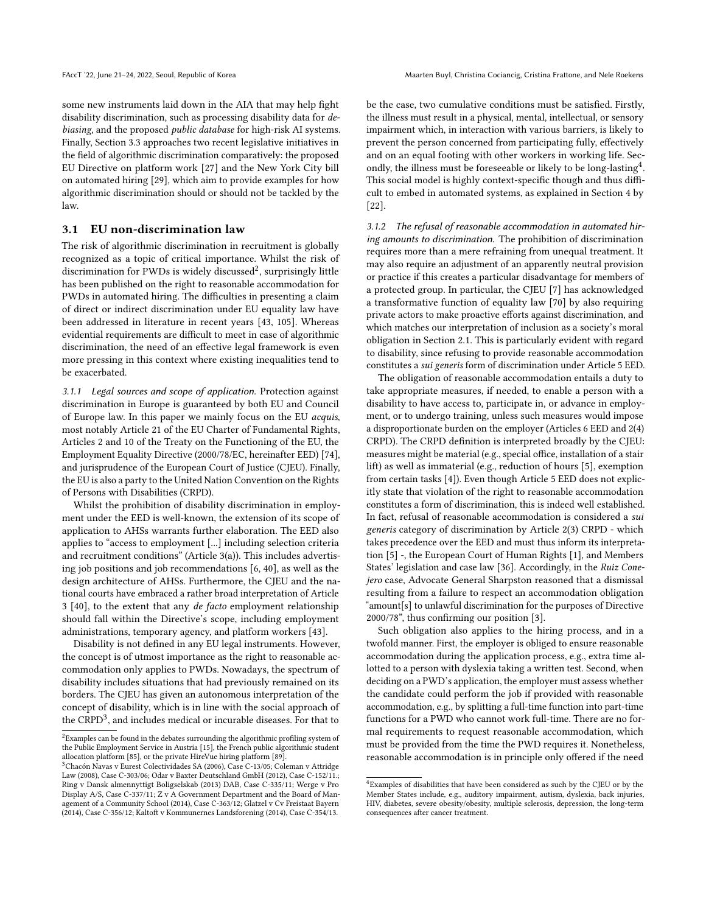some new instruments laid down in the AIA that may help fight disability discrimination, such as processing disability data for debiasing, and the proposed public database for high-risk AI systems. Finally, Section [3.3](#page-6-2) approaches two recent legislative initiatives in the field of algorithmic discrimination comparatively: the proposed EU Directive on platform work [\[27\]](#page-9-4) and the New York City bill on automated hiring [\[29\]](#page-9-5), which aim to provide examples for how algorithmic discrimination should or should not be tackled by the law.

## <span id="page-3-0"></span>3.1 EU non-discrimination law

The risk of algorithmic discrimination in recruitment is globally recognized as a topic of critical importance. Whilst the risk of discrimination for PWDs is widely discussed<sup>[2](#page-3-1)</sup>, surprisingly little has been published on the right to reasonable accommodation for PWDs in automated hiring. The difficulties in presenting a claim of direct or indirect discrimination under EU equality law have been addressed in literature in recent years [\[43,](#page-10-10) [105\]](#page-11-5). Whereas evidential requirements are difficult to meet in case of algorithmic discrimination, the need of an effective legal framework is even more pressing in this context where existing inequalities tend to be exacerbated.

3.1.1 Legal sources and scope of application. Protection against discrimination in Europe is guaranteed by both EU and Council of Europe law. In this paper we mainly focus on the EU acquis, most notably Article 21 of the EU Charter of Fundamental Rights, Articles 2 and 10 of the Treaty on the Functioning of the EU, the Employment Equality Directive (2000/78/EC, hereinafter EED) [\[74\]](#page-10-4), and jurisprudence of the European Court of Justice (CJEU). Finally, the EU is also a party to the United Nation Convention on the Rights of Persons with Disabilities (CRPD).

Whilst the prohibition of disability discrimination in employment under the EED is well-known, the extension of its scope of application to AHSs warrants further elaboration. The EED also applies to "access to employment [...] including selection criteria and recruitment conditions" (Article 3(a)). This includes advertising job positions and job recommendations [\[6,](#page-9-6) [40\]](#page-10-11), as well as the design architecture of AHSs. Furthermore, the CJEU and the national courts have embraced a rather broad interpretation of Article 3 [\[40\]](#page-10-11), to the extent that any de facto employment relationship should fall within the Directive's scope, including employment administrations, temporary agency, and platform workers [\[43\]](#page-10-10).

Disability is not defined in any EU legal instruments. However, the concept is of utmost importance as the right to reasonable accommodation only applies to PWDs. Nowadays, the spectrum of disability includes situations that had previously remained on its borders. The CJEU has given an autonomous interpretation of the concept of disability, which is in line with the social approach of the CRPD<sup>[3](#page-3-2)</sup>, and includes medical or incurable diseases. For that to

be the case, two cumulative conditions must be satisfied. Firstly, the illness must result in a physical, mental, intellectual, or sensory impairment which, in interaction with various barriers, is likely to prevent the person concerned from participating fully, effectively and on an equal footing with other workers in working life. Sec-ondly, the illness must be foreseeable or likely to be long-lasting<sup>[4](#page-3-3)</sup>. This social model is highly context-specific though and thus difficult to embed in automated systems, as explained in Section [4](#page-6-0) by [\[22\]](#page-9-8).

3.1.2 The refusal of reasonable accommodation in automated hiring amounts to discrimination. The prohibition of discrimination requires more than a mere refraining from unequal treatment. It may also require an adjustment of an apparently neutral provision or practice if this creates a particular disadvantage for members of a protected group. In particular, the CJEU [\[7\]](#page-9-9) has acknowledged a transformative function of equality law [\[70\]](#page-10-12) by also requiring private actors to make proactive efforts against discrimination, and which matches our interpretation of inclusion as a society's moral obligation in Section [2.1.](#page-1-1) This is particularly evident with regard to disability, since refusing to provide reasonable accommodation constitutes a sui generis form of discrimination under Article 5 EED.

The obligation of reasonable accommodation entails a duty to take appropriate measures, if needed, to enable a person with a disability to have access to, participate in, or advance in employment, or to undergo training, unless such measures would impose a disproportionate burden on the employer (Articles 6 EED and 2(4) CRPD). The CRPD definition is interpreted broadly by the CJEU: measures might be material (e.g., special office, installation of a stair lift) as well as immaterial (e.g., reduction of hours [\[5\]](#page-9-10), exemption from certain tasks [\[4\]](#page-9-11)). Even though Article 5 EED does not explicitly state that violation of the right to reasonable accommodation constitutes a form of discrimination, this is indeed well established. In fact, refusal of reasonable accommodation is considered a sui generis category of discrimination by Article 2(3) CRPD - which takes precedence over the EED and must thus inform its interpretation [\[5\]](#page-9-10) -, the European Court of Human Rights [\[1\]](#page-9-12), and Members States' legislation and case law [\[36\]](#page-10-13). Accordingly, in the Ruiz Conejero case, Advocate General Sharpston reasoned that a dismissal resulting from a failure to respect an accommodation obligation "amount[s] to unlawful discrimination for the purposes of Directive 2000/78", thus confirming our position [\[3\]](#page-9-13).

Such obligation also applies to the hiring process, and in a twofold manner. First, the employer is obliged to ensure reasonable accommodation during the application process, e.g., extra time allotted to a person with dyslexia taking a written test. Second, when deciding on a PWD's application, the employer must assess whether the candidate could perform the job if provided with reasonable accommodation, e.g., by splitting a full-time function into part-time functions for a PWD who cannot work full-time. There are no formal requirements to request reasonable accommodation, which must be provided from the time the PWD requires it. Nonetheless, reasonable accommodation is in principle only offered if the need

<span id="page-3-1"></span> $^2$ Examples can be found in the debates surrounding the algorithmic profiling system of the Public Employment Service in Austria [\[15\]](#page-9-7), the French public algorithmic student allocation platform [\[85\]](#page-11-6), or the private HireVue hiring platform [\[89\]](#page-11-1).

<span id="page-3-2"></span><sup>3</sup>Chacón Navas v Eurest Colectividades SA (2006), Case C-13/05; Coleman v Attridge Law (2008), Case C-303/06; Odar v Baxter Deutschland GmbH (2012), Case C-152/11.; Ring v Dansk almennyttigt Boligselskab (2013) DAB, Case C-335/11; Werge v Pro Display A/S, Case C-337/11; Z v A Government Department and the Board of Management of a Community School (2014), Case C-363/12; Glatzel v Cv Freistaat Bayern (2014), Case C-356/12; Kaltoft v Kommunernes Landsforening (2014), Case C-354/13.

<span id="page-3-3"></span> $^4$ Examples of disabilities that have been considered as such by the CJEU or by the Member States include, e.g., auditory impairment, autism, dyslexia, back injuries, HIV, diabetes, severe obesity/obesity, multiple sclerosis, depression, the long-term consequences after cancer treatment.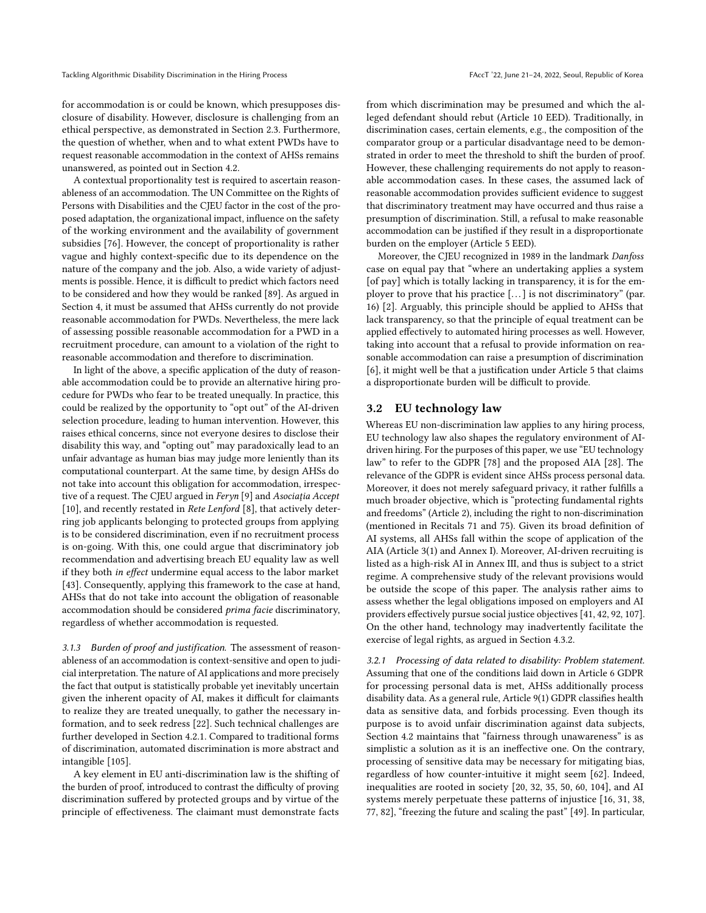for accommodation is or could be known, which presupposes disclosure of disability. However, disclosure is challenging from an ethical perspective, as demonstrated in Section [2.3.](#page-2-1) Furthermore, the question of whether, when and to what extent PWDs have to request reasonable accommodation in the context of AHSs remains unanswered, as pointed out in Section [4.2.](#page-7-0)

A contextual proportionality test is required to ascertain reasonableness of an accommodation. The UN Committee on the Rights of Persons with Disabilities and the CJEU factor in the cost of the proposed adaptation, the organizational impact, influence on the safety of the working environment and the availability of government subsidies [\[76\]](#page-10-14). However, the concept of proportionality is rather vague and highly context-specific due to its dependence on the nature of the company and the job. Also, a wide variety of adjustments is possible. Hence, it is difficult to predict which factors need to be considered and how they would be ranked [\[89\]](#page-11-1). As argued in Section [4,](#page-6-0) it must be assumed that AHSs currently do not provide reasonable accommodation for PWDs. Nevertheless, the mere lack of assessing possible reasonable accommodation for a PWD in a recruitment procedure, can amount to a violation of the right to reasonable accommodation and therefore to discrimination.

In light of the above, a specific application of the duty of reasonable accommodation could be to provide an alternative hiring procedure for PWDs who fear to be treated unequally. In practice, this could be realized by the opportunity to "opt out" of the AI-driven selection procedure, leading to human intervention. However, this raises ethical concerns, since not everyone desires to disclose their disability this way, and "opting out" may paradoxically lead to an unfair advantage as human bias may judge more leniently than its computational counterpart. At the same time, by design AHSs do not take into account this obligation for accommodation, irrespective of a request. The CJEU argued in Feryn [\[9\]](#page-9-14) and Asociaţia Accept [\[10\]](#page-9-15), and recently restated in Rete Lenford [\[8\]](#page-9-16), that actively deterring job applicants belonging to protected groups from applying is to be considered discrimination, even if no recruitment process is on-going. With this, one could argue that discriminatory job recommendation and advertising breach EU equality law as well if they both in effect undermine equal access to the labor market [\[43\]](#page-10-10). Consequently, applying this framework to the case at hand, AHSs that do not take into account the obligation of reasonable accommodation should be considered prima facie discriminatory, regardless of whether accommodation is requested.

3.1.3 Burden of proof and justification. The assessment of reasonableness of an accommodation is context-sensitive and open to judicial interpretation. The nature of AI applications and more precisely the fact that output is statistically probable yet inevitably uncertain given the inherent opacity of AI, makes it difficult for claimants to realize they are treated unequally, to gather the necessary information, and to seek redress [\[22\]](#page-9-8). Such technical challenges are further developed in Section [4.2.1.](#page-7-1) Compared to traditional forms of discrimination, automated discrimination is more abstract and intangible [\[105\]](#page-11-5).

A key element in EU anti-discrimination law is the shifting of the burden of proof, introduced to contrast the difficulty of proving discrimination suffered by protected groups and by virtue of the principle of effectiveness. The claimant must demonstrate facts

from which discrimination may be presumed and which the alleged defendant should rebut (Article 10 EED). Traditionally, in discrimination cases, certain elements, e.g., the composition of the comparator group or a particular disadvantage need to be demonstrated in order to meet the threshold to shift the burden of proof. However, these challenging requirements do not apply to reasonable accommodation cases. In these cases, the assumed lack of reasonable accommodation provides sufficient evidence to suggest that discriminatory treatment may have occurred and thus raise a presumption of discrimination. Still, a refusal to make reasonable accommodation can be justified if they result in a disproportionate burden on the employer (Article 5 EED).

Moreover, the CJEU recognized in 1989 in the landmark Danfoss case on equal pay that "where an undertaking applies a system [of pay] which is totally lacking in transparency, it is for the employer to prove that his practice  $[...]$  is not discriminatory" (par. 16) [\[2\]](#page-9-17). Arguably, this principle should be applied to AHSs that lack transparency, so that the principle of equal treatment can be applied effectively to automated hiring processes as well. However, taking into account that a refusal to provide information on reasonable accommodation can raise a presumption of discrimination [\[6\]](#page-9-6), it might well be that a justification under Article 5 that claims a disproportionate burden will be difficult to provide.

#### <span id="page-4-0"></span>3.2 EU technology law

Whereas EU non-discrimination law applies to any hiring process, EU technology law also shapes the regulatory environment of AIdriven hiring. For the purposes of this paper, we use "EU technology law" to refer to the GDPR [\[78\]](#page-10-5) and the proposed AIA [\[28\]](#page-9-0). The relevance of the GDPR is evident since AHSs process personal data. Moreover, it does not merely safeguard privacy, it rather fulfills a much broader objective, which is "protecting fundamental rights and freedoms" (Article 2), including the right to non-discrimination (mentioned in Recitals 71 and 75). Given its broad definition of AI systems, all AHSs fall within the scope of application of the AIA (Article 3(1) and Annex I). Moreover, AI-driven recruiting is listed as a high-risk AI in Annex III, and thus is subject to a strict regime. A comprehensive study of the relevant provisions would be outside the scope of this paper. The analysis rather aims to assess whether the legal obligations imposed on employers and AI providers effectively pursue social justice objectives [\[41,](#page-10-15) [42,](#page-10-16) [92,](#page-11-7) [107\]](#page-11-8). On the other hand, technology may inadvertently facilitate the exercise of legal rights, as argued in Section [4.3.2.](#page-8-0)

3.2.1 Processing of data related to disability: Problem statement. Assuming that one of the conditions laid down in Article 6 GDPR for processing personal data is met, AHSs additionally process disability data. As a general rule, Article 9(1) GDPR classifies health data as sensitive data, and forbids processing. Even though its purpose is to avoid unfair discrimination against data subjects, Section [4.2](#page-7-0) maintains that "fairness through unawareness" is as simplistic a solution as it is an ineffective one. On the contrary, processing of sensitive data may be necessary for mitigating bias, regardless of how counter-intuitive it might seem [\[62\]](#page-10-17). Indeed, inequalities are rooted in society [\[20,](#page-9-1) [32,](#page-10-18) [35,](#page-10-19) [50,](#page-10-20) [60,](#page-10-21) [104\]](#page-11-9), and AI systems merely perpetuate these patterns of injustice [\[16,](#page-9-18) [31,](#page-9-19) [38,](#page-10-22) [77,](#page-10-23) [82\]](#page-11-10), "freezing the future and scaling the past" [\[49\]](#page-10-24). In particular,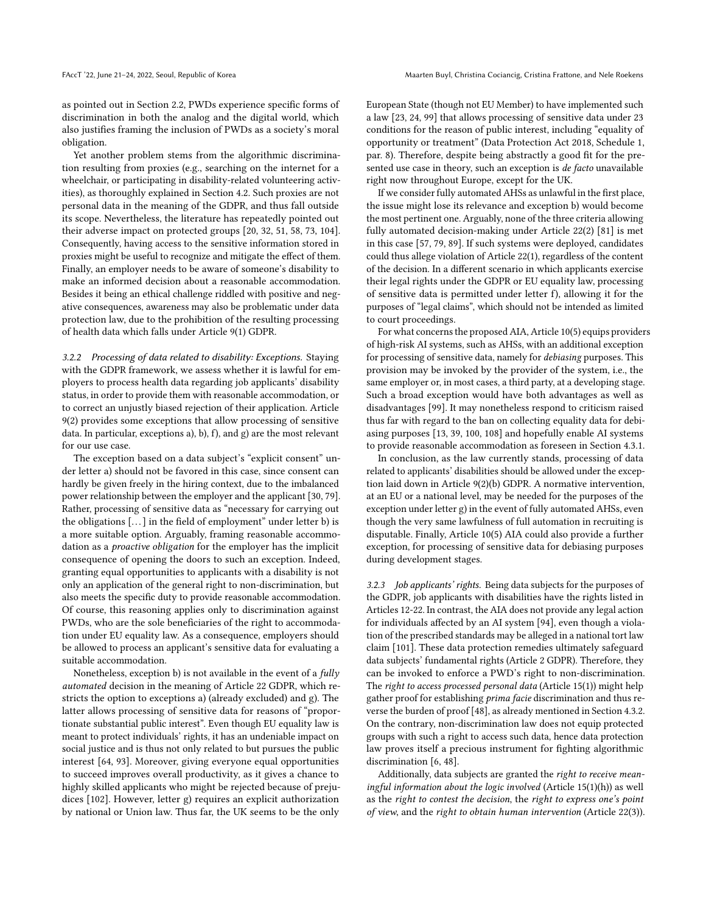as pointed out in Section [2.2,](#page-1-2) PWDs experience specific forms of discrimination in both the analog and the digital world, which also justifies framing the inclusion of PWDs as a society's moral obligation.

Yet another problem stems from the algorithmic discrimination resulting from proxies (e.g., searching on the internet for a wheelchair, or participating in disability-related volunteering activities), as thoroughly explained in Section [4.2.](#page-7-0) Such proxies are not personal data in the meaning of the GDPR, and thus fall outside its scope. Nevertheless, the literature has repeatedly pointed out their adverse impact on protected groups [\[20,](#page-9-1) [32,](#page-10-18) [51,](#page-10-25) [58,](#page-10-26) [73,](#page-10-27) [104\]](#page-11-9). Consequently, having access to the sensitive information stored in proxies might be useful to recognize and mitigate the effect of them. Finally, an employer needs to be aware of someone's disability to make an informed decision about a reasonable accommodation. Besides it being an ethical challenge riddled with positive and negative consequences, awareness may also be problematic under data protection law, due to the prohibition of the resulting processing of health data which falls under Article 9(1) GDPR.

<span id="page-5-0"></span>3.2.2 Processing of data related to disability: Exceptions. Staying with the GDPR framework, we assess whether it is lawful for employers to process health data regarding job applicants' disability status, in order to provide them with reasonable accommodation, or to correct an unjustly biased rejection of their application. Article 9(2) provides some exceptions that allow processing of sensitive data. In particular, exceptions a), b), f), and g) are the most relevant for our use case.

The exception based on a data subject's "explicit consent" under letter a) should not be favored in this case, since consent can hardly be given freely in the hiring context, due to the imbalanced power relationship between the employer and the applicant [\[30,](#page-9-20) [79\]](#page-10-28). Rather, processing of sensitive data as "necessary for carrying out the obligations [...] in the field of employment" under letter b) is a more suitable option. Arguably, framing reasonable accommodation as a proactive obligation for the employer has the implicit consequence of opening the doors to such an exception. Indeed, granting equal opportunities to applicants with a disability is not only an application of the general right to non-discrimination, but also meets the specific duty to provide reasonable accommodation. Of course, this reasoning applies only to discrimination against PWDs, who are the sole beneficiaries of the right to accommodation under EU equality law. As a consequence, employers should be allowed to process an applicant's sensitive data for evaluating a suitable accommodation.

Nonetheless, exception b) is not available in the event of a fully automated decision in the meaning of Article 22 GDPR, which restricts the option to exceptions a) (already excluded) and g). The latter allows processing of sensitive data for reasons of "proportionate substantial public interest". Even though EU equality law is meant to protect individuals' rights, it has an undeniable impact on social justice and is thus not only related to but pursues the public interest [\[64,](#page-10-29) [93\]](#page-11-11). Moreover, giving everyone equal opportunities to succeed improves overall productivity, as it gives a chance to highly skilled applicants who might be rejected because of prejudices [\[102\]](#page-11-12). However, letter g) requires an explicit authorization by national or Union law. Thus far, the UK seems to be the only

European State (though not EU Member) to have implemented such a law [\[23,](#page-9-21) [24,](#page-9-22) [99\]](#page-11-13) that allows processing of sensitive data under 23 conditions for the reason of public interest, including "equality of opportunity or treatment" (Data Protection Act 2018, Schedule 1, par. 8). Therefore, despite being abstractly a good fit for the presented use case in theory, such an exception is de facto unavailable right now throughout Europe, except for the UK.

If we consider fully automated AHSs as unlawful in the first place, the issue might lose its relevance and exception b) would become the most pertinent one. Arguably, none of the three criteria allowing fully automated decision-making under Article 22(2) [\[81\]](#page-10-30) is met in this case [\[57,](#page-10-31) [79,](#page-10-28) [89\]](#page-11-1). If such systems were deployed, candidates could thus allege violation of Article 22(1), regardless of the content of the decision. In a different scenario in which applicants exercise their legal rights under the GDPR or EU equality law, processing of sensitive data is permitted under letter f), allowing it for the purposes of "legal claims", which should not be intended as limited to court proceedings.

For what concerns the proposed AIA, Article 10(5) equips providers of high-risk AI systems, such as AHSs, with an additional exception for processing of sensitive data, namely for debiasing purposes. This provision may be invoked by the provider of the system, i.e., the same employer or, in most cases, a third party, at a developing stage. Such a broad exception would have both advantages as well as disadvantages [\[99\]](#page-11-13). It may nonetheless respond to criticism raised thus far with regard to the ban on collecting equality data for debiasing purposes [\[13,](#page-9-23) [39,](#page-10-32) [100,](#page-11-14) [108\]](#page-11-15) and hopefully enable AI systems to provide reasonable accommodation as foreseen in Section [4.3.1.](#page-8-1)

In conclusion, as the law currently stands, processing of data related to applicants' disabilities should be allowed under the exception laid down in Article 9(2)(b) GDPR. A normative intervention, at an EU or a national level, may be needed for the purposes of the exception under letter g) in the event of fully automated AHSs, even though the very same lawfulness of full automation in recruiting is disputable. Finally, Article 10(5) AIA could also provide a further exception, for processing of sensitive data for debiasing purposes during development stages.

3.2.3 Job applicants' rights. Being data subjects for the purposes of the GDPR, job applicants with disabilities have the rights listed in Articles 12-22. In contrast, the AIA does not provide any legal action for individuals affected by an AI system [\[94\]](#page-11-16), even though a violation of the prescribed standards may be alleged in a national tort law claim [\[101\]](#page-11-17). These data protection remedies ultimately safeguard data subjects' fundamental rights (Article 2 GDPR). Therefore, they can be invoked to enforce a PWD's right to non-discrimination. The right to access processed personal data (Article 15(1)) might help gather proof for establishing prima facie discrimination and thus reverse the burden of proof [\[48\]](#page-10-0), as already mentioned in Section [4.3.2.](#page-8-0) On the contrary, non-discrimination law does not equip protected groups with such a right to access such data, hence data protection law proves itself a precious instrument for fighting algorithmic discrimination [\[6,](#page-9-6) [48\]](#page-10-0).

Additionally, data subjects are granted the right to receive meaningful information about the logic involved (Article 15(1)(h)) as well as the right to contest the decision, the right to express one's point of view, and the right to obtain human intervention (Article 22(3)).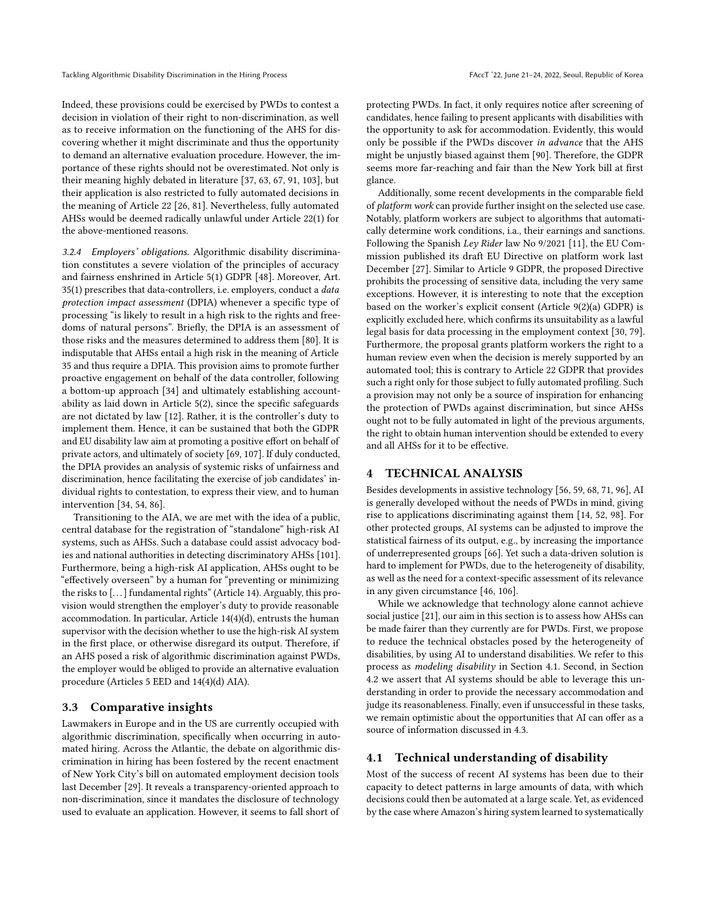Indeed, these provisions could be exercised by PWDs to contest a decision in violation of their right to non-discrimination, as well as to receive information on the functioning of the AHS for discovering whether it might discriminate and thus the opportunity to demand an alternative evaluation procedure. However, the importance of these rights should not be overestimated. Not only is their meaning highly debated in literature [\[37,](#page-10-33) [63,](#page-10-34) [67,](#page-10-35) [91,](#page-11-18) [103\]](#page-11-19), but their application is also restricted to fully automated decisions in the meaning of Article 22 [\[26,](#page-9-24) [81\]](#page-10-30). Nevertheless, fully automated AHSs would be deemed radically unlawful under Article 22(1) for the above-mentioned reasons.

3.2.4 Employers' obligations. Algorithmic disability discrimination constitutes a severe violation of the principles of accuracy and fairness enshrined in Article 5(1) GDPR [\[48\]](#page-10-0). Moreover, Art. 35(1) prescribes that data-controllers, i.e. employers, conduct a data protection impact assessment (DPIA) whenever a specific type of processing "is likely to result in a high risk to the rights and freedoms of natural persons". Briefly, the DPIA is an assessment of those risks and the measures determined to address them [\[80\]](#page-10-36). It is indisputable that AHSs entail a high risk in the meaning of Article 35 and thus require a DPIA. This provision aims to promote further proactive engagement on behalf of the data controller, following a bottom-up approach [\[34\]](#page-10-37) and ultimately establishing accountability as laid down in Article 5(2), since the specific safeguards are not dictated by law [\[12\]](#page-9-25). Rather, it is the controller's duty to implement them. Hence, it can be sustained that both the GDPR and EU disability law aim at promoting a positive effort on behalf of private actors, and ultimately of society [\[69,](#page-10-38) [107\]](#page-11-8). If duly conducted, the DPIA provides an analysis of systemic risks of unfairness and discrimination, hence facilitating the exercise of job candidates' individual rights to contestation, to express their view, and to human intervention [\[34,](#page-10-37) [54,](#page-10-39) [86\]](#page-11-20).

Transitioning to the AIA, we are met with the idea of a public, central database for the registration of "standalone" high-risk AI systems, such as AHSs. Such a database could assist advocacy bodies and national authorities in detecting discriminatory AHSs [\[101\]](#page-11-17). Furthermore, being a high-risk AI application, AHSs ought to be "effectively overseen" by a human for "preventing or minimizing the risks to [. . . ] fundamental rights" (Article 14). Arguably, this provision would strengthen the employer's duty to provide reasonable accommodation. In particular, Article 14(4)(d), entrusts the human supervisor with the decision whether to use the high-risk AI system in the first place, or otherwise disregard its output. Therefore, if an AHS posed a risk of algorithmic discrimination against PWDs, the employer would be obliged to provide an alternative evaluation procedure (Articles 5 EED and 14(4)(d) AIA).

#### <span id="page-6-2"></span>3.3 Comparative insights

Lawmakers in Europe and in the US are currently occupied with algorithmic discrimination, specifically when occurring in automated hiring. Across the Atlantic, the debate on algorithmic discrimination in hiring has been fostered by the recent enactment of New York City's bill on automated employment decision tools last December [\[29\]](#page-9-5). It reveals a transparency-oriented approach to non-discrimination, since it mandates the disclosure of technology used to evaluate an application. However, it seems to fall short of

protecting PWDs. In fact, it only requires notice after screening of candidates, hence failing to present applicants with disabilities with the opportunity to ask for accommodation. Evidently, this would only be possible if the PWDs discover in advance that the AHS might be unjustly biased against them [\[90\]](#page-11-21). Therefore, the GDPR seems more far-reaching and fair than the New York bill at first glance.

Additionally, some recent developments in the comparable field of platform work can provide further insight on the selected use case. Notably, platform workers are subject to algorithms that automatically determine work conditions, i.a., their earnings and sanctions. Following the Spanish Ley Rider law No 9/2021 [\[11\]](#page-9-26), the EU Commission published its draft EU Directive on platform work last December [\[27\]](#page-9-4). Similar to Article 9 GDPR, the proposed Directive prohibits the processing of sensitive data, including the very same exceptions. However, it is interesting to note that the exception based on the worker's explicit consent (Article 9(2)(a) GDPR) is explicitly excluded here, which confirms its unsuitability as a lawful legal basis for data processing in the employment context [\[30,](#page-9-20) [79\]](#page-10-28). Furthermore, the proposal grants platform workers the right to a human review even when the decision is merely supported by an automated tool; this is contrary to Article 22 GDPR that provides such a right only for those subject to fully automated profiling. Such a provision may not only be a source of inspiration for enhancing the protection of PWDs against discrimination, but since AHSs ought not to be fully automated in light of the previous arguments, the right to obtain human intervention should be extended to every and all AHSs for it to be effective.

## <span id="page-6-0"></span>4 TECHNICAL ANALYSIS

Besides developments in assistive technology [\[56,](#page-10-40) [59,](#page-10-41) [68,](#page-10-42) [71,](#page-10-43) [96\]](#page-11-22), AI is generally developed without the needs of PWDs in mind, giving rise to applications discriminating against them [\[14,](#page-9-27) [52,](#page-10-44) [98\]](#page-11-23). For other protected groups, AI systems can be adjusted to improve the statistical fairness of its output, e.g., by increasing the importance of underrepresented groups [\[66\]](#page-10-1). Yet such a data-driven solution is hard to implement for PWDs, due to the heterogeneity of disability, as well as the need for a context-specific assessment of its relevance in any given circumstance [\[46,](#page-10-45) [106\]](#page-11-24).

While we acknowledge that technology alone cannot achieve social justice [\[21\]](#page-9-28), our aim in this section is to assess how AHSs can be made fairer than they currently are for PWDs. First, we propose to reduce the technical obstacles posed by the heterogeneity of disabilities, by using AI to understand disabilities. We refer to this process as modeling disability in Section [4.1.](#page-6-1) Second, in Section [4.2](#page-7-0) we assert that AI systems should be able to leverage this understanding in order to provide the necessary accommodation and judge its reasonableness. Finally, even if unsuccessful in these tasks, we remain optimistic about the opportunities that AI can offer as a source of information discussed in [4.3.](#page-8-2)

#### <span id="page-6-1"></span>4.1 Technical understanding of disability

Most of the success of recent AI systems has been due to their capacity to detect patterns in large amounts of data, with which decisions could then be automated at a large scale. Yet, as evidenced by the case where Amazon's hiring system learned to systematically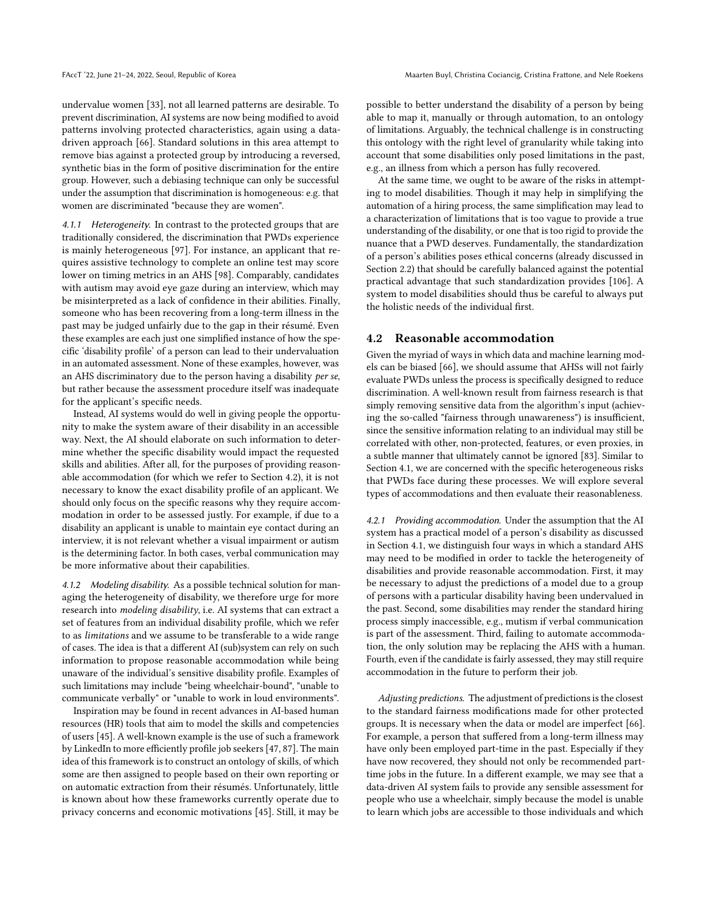undervalue women [\[33\]](#page-10-46), not all learned patterns are desirable. To prevent discrimination, AI systems are now being modified to avoid patterns involving protected characteristics, again using a datadriven approach [\[66\]](#page-10-1). Standard solutions in this area attempt to remove bias against a protected group by introducing a reversed, synthetic bias in the form of positive discrimination for the entire group. However, such a debiasing technique can only be successful under the assumption that discrimination is homogeneous: e.g. that women are discriminated "because they are women".

4.1.1 Heterogeneity. In contrast to the protected groups that are traditionally considered, the discrimination that PWDs experience is mainly heterogeneous [\[97\]](#page-11-25). For instance, an applicant that requires assistive technology to complete an online test may score lower on timing metrics in an AHS [\[98\]](#page-11-23). Comparably, candidates with autism may avoid eye gaze during an interview, which may be misinterpreted as a lack of confidence in their abilities. Finally, someone who has been recovering from a long-term illness in the past may be judged unfairly due to the gap in their résumé. Even these examples are each just one simplified instance of how the specific 'disability profile' of a person can lead to their undervaluation in an automated assessment. None of these examples, however, was an AHS discriminatory due to the person having a disability per se, but rather because the assessment procedure itself was inadequate for the applicant's specific needs.

Instead, AI systems would do well in giving people the opportunity to make the system aware of their disability in an accessible way. Next, the AI should elaborate on such information to determine whether the specific disability would impact the requested skills and abilities. After all, for the purposes of providing reasonable accommodation (for which we refer to Section [4.2\)](#page-7-0), it is not necessary to know the exact disability profile of an applicant. We should only focus on the specific reasons why they require accommodation in order to be assessed justly. For example, if due to a disability an applicant is unable to maintain eye contact during an interview, it is not relevant whether a visual impairment or autism is the determining factor. In both cases, verbal communication may be more informative about their capabilities.

4.1.2 Modeling disability. As a possible technical solution for managing the heterogeneity of disability, we therefore urge for more research into modeling disability, i.e. AI systems that can extract a set of features from an individual disability profile, which we refer to as limitations and we assume to be transferable to a wide range of cases. The idea is that a different AI (sub)system can rely on such information to propose reasonable accommodation while being unaware of the individual's sensitive disability profile. Examples of such limitations may include "being wheelchair-bound", "unable to communicate verbally" or "unable to work in loud environments".

Inspiration may be found in recent advances in AI-based human resources (HR) tools that aim to model the skills and competencies of users [\[45\]](#page-10-47). A well-known example is the use of such a framework by LinkedIn to more efficiently profile job seekers [\[47,](#page-10-48) [87\]](#page-11-26). The main idea of this framework is to construct an ontology of skills, of which some are then assigned to people based on their own reporting or on automatic extraction from their résumés. Unfortunately, little is known about how these frameworks currently operate due to privacy concerns and economic motivations [\[45\]](#page-10-47). Still, it may be possible to better understand the disability of a person by being able to map it, manually or through automation, to an ontology of limitations. Arguably, the technical challenge is in constructing this ontology with the right level of granularity while taking into account that some disabilities only posed limitations in the past, e.g., an illness from which a person has fully recovered.

At the same time, we ought to be aware of the risks in attempting to model disabilities. Though it may help in simplifying the automation of a hiring process, the same simplification may lead to a characterization of limitations that is too vague to provide a true understanding of the disability, or one that is too rigid to provide the nuance that a PWD deserves. Fundamentally, the standardization of a person's abilities poses ethical concerns (already discussed in Section [2.2\)](#page-1-2) that should be carefully balanced against the potential practical advantage that such standardization provides [\[106\]](#page-11-24). A system to model disabilities should thus be careful to always put the holistic needs of the individual first.

#### <span id="page-7-0"></span>4.2 Reasonable accommodation

Given the myriad of ways in which data and machine learning models can be biased [\[66\]](#page-10-1), we should assume that AHSs will not fairly evaluate PWDs unless the process is specifically designed to reduce discrimination. A well-known result from fairness research is that simply removing sensitive data from the algorithm's input (achieving the so-called "fairness through unawareness") is insufficient, since the sensitive information relating to an individual may still be correlated with other, non-protected, features, or even proxies, in a subtle manner that ultimately cannot be ignored [\[83\]](#page-11-27). Similar to Section [4.1,](#page-6-1) we are concerned with the specific heterogeneous risks that PWDs face during these processes. We will explore several types of accommodations and then evaluate their reasonableness.

<span id="page-7-1"></span>4.2.1 Providing accommodation. Under the assumption that the AI system has a practical model of a person's disability as discussed in Section [4.1,](#page-6-1) we distinguish four ways in which a standard AHS may need to be modified in order to tackle the heterogeneity of disabilities and provide reasonable accommodation. First, it may be necessary to adjust the predictions of a model due to a group of persons with a particular disability having been undervalued in the past. Second, some disabilities may render the standard hiring process simply inaccessible, e.g., mutism if verbal communication is part of the assessment. Third, failing to automate accommodation, the only solution may be replacing the AHS with a human. Fourth, even if the candidate is fairly assessed, they may still require accommodation in the future to perform their job.

Adjusting predictions. The adjustment of predictions is the closest to the standard fairness modifications made for other protected groups. It is necessary when the data or model are imperfect [\[66\]](#page-10-1). For example, a person that suffered from a long-term illness may have only been employed part-time in the past. Especially if they have now recovered, they should not only be recommended parttime jobs in the future. In a different example, we may see that a data-driven AI system fails to provide any sensible assessment for people who use a wheelchair, simply because the model is unable to learn which jobs are accessible to those individuals and which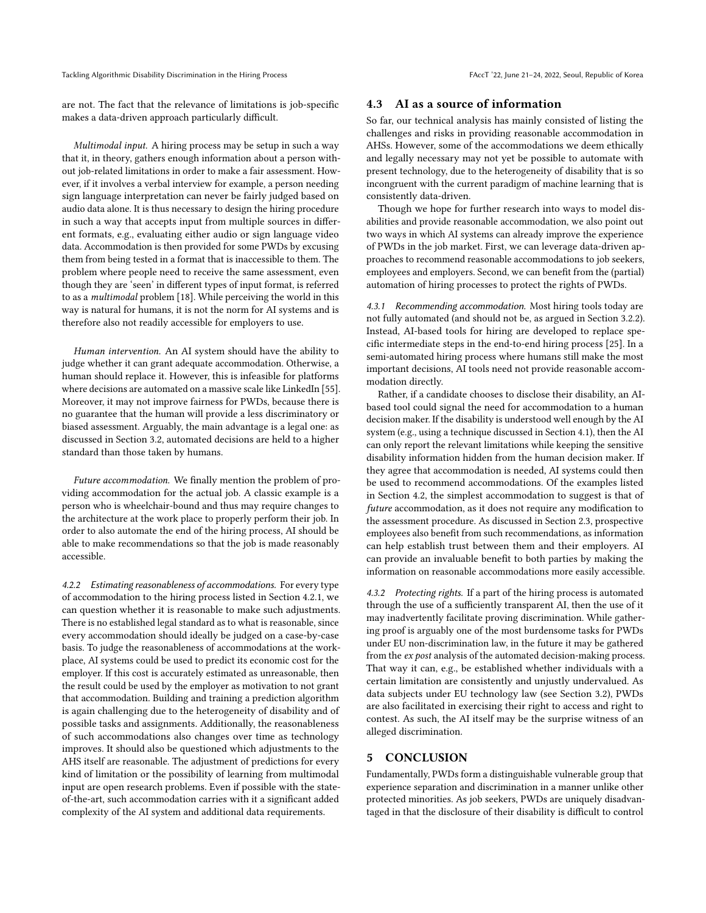Tackling Algorithmic Disability Discrimination in the Hiring Process FACCT '22, June 21-24, 2022, Seoul, Republic of Korea

are not. The fact that the relevance of limitations is job-specific makes a data-driven approach particularly difficult.

Multimodal input. A hiring process may be setup in such a way that it, in theory, gathers enough information about a person without job-related limitations in order to make a fair assessment. However, if it involves a verbal interview for example, a person needing sign language interpretation can never be fairly judged based on audio data alone. It is thus necessary to design the hiring procedure in such a way that accepts input from multiple sources in different formats, e.g., evaluating either audio or sign language video data. Accommodation is then provided for some PWDs by excusing them from being tested in a format that is inaccessible to them. The problem where people need to receive the same assessment, even though they are 'seen' in different types of input format, is referred to as a multimodal problem [\[18\]](#page-9-29). While perceiving the world in this way is natural for humans, it is not the norm for AI systems and is therefore also not readily accessible for employers to use.

Human intervention. An AI system should have the ability to judge whether it can grant adequate accommodation. Otherwise, a human should replace it. However, this is infeasible for platforms where decisions are automated on a massive scale like LinkedIn [\[55\]](#page-10-49). Moreover, it may not improve fairness for PWDs, because there is no guarantee that the human will provide a less discriminatory or biased assessment. Arguably, the main advantage is a legal one: as discussed in Section [3.2,](#page-4-0) automated decisions are held to a higher standard than those taken by humans.

Future accommodation. We finally mention the problem of providing accommodation for the actual job. A classic example is a person who is wheelchair-bound and thus may require changes to the architecture at the work place to properly perform their job. In order to also automate the end of the hiring process, AI should be able to make recommendations so that the job is made reasonably accessible.

4.2.2 Estimating reasonableness of accommodations. For every type of accommodation to the hiring process listed in Section [4.2.1,](#page-7-1) we can question whether it is reasonable to make such adjustments. There is no established legal standard as to what is reasonable, since every accommodation should ideally be judged on a case-by-case basis. To judge the reasonableness of accommodations at the workplace, AI systems could be used to predict its economic cost for the employer. If this cost is accurately estimated as unreasonable, then the result could be used by the employer as motivation to not grant that accommodation. Building and training a prediction algorithm is again challenging due to the heterogeneity of disability and of possible tasks and assignments. Additionally, the reasonableness of such accommodations also changes over time as technology improves. It should also be questioned which adjustments to the AHS itself are reasonable. The adjustment of predictions for every kind of limitation or the possibility of learning from multimodal input are open research problems. Even if possible with the stateof-the-art, such accommodation carries with it a significant added complexity of the AI system and additional data requirements.

#### <span id="page-8-2"></span>4.3 AI as a source of information

So far, our technical analysis has mainly consisted of listing the challenges and risks in providing reasonable accommodation in AHSs. However, some of the accommodations we deem ethically and legally necessary may not yet be possible to automate with present technology, due to the heterogeneity of disability that is so incongruent with the current paradigm of machine learning that is consistently data-driven.

Though we hope for further research into ways to model disabilities and provide reasonable accommodation, we also point out two ways in which AI systems can already improve the experience of PWDs in the job market. First, we can leverage data-driven approaches to recommend reasonable accommodations to job seekers, employees and employers. Second, we can benefit from the (partial) automation of hiring processes to protect the rights of PWDs.

<span id="page-8-1"></span>4.3.1 Recommending accommodation. Most hiring tools today are not fully automated (and should not be, as argued in Section [3.2.2\)](#page-5-0). Instead, AI-based tools for hiring are developed to replace specific intermediate steps in the end-to-end hiring process [\[25\]](#page-9-30). In a semi-automated hiring process where humans still make the most important decisions, AI tools need not provide reasonable accommodation directly.

Rather, if a candidate chooses to disclose their disability, an AIbased tool could signal the need for accommodation to a human decision maker. If the disability is understood well enough by the AI system (e.g., using a technique discussed in Section [4.1\)](#page-6-1), then the AI can only report the relevant limitations while keeping the sensitive disability information hidden from the human decision maker. If they agree that accommodation is needed, AI systems could then be used to recommend accommodations. Of the examples listed in Section [4.2,](#page-7-0) the simplest accommodation to suggest is that of future accommodation, as it does not require any modification to the assessment procedure. As discussed in Section [2.3,](#page-2-1) prospective employees also benefit from such recommendations, as information can help establish trust between them and their employers. AI can provide an invaluable benefit to both parties by making the information on reasonable accommodations more easily accessible.

<span id="page-8-0"></span>4.3.2 Protecting rights. If a part of the hiring process is automated through the use of a sufficiently transparent AI, then the use of it may inadvertently facilitate proving discrimination. While gathering proof is arguably one of the most burdensome tasks for PWDs under EU non-discrimination law, in the future it may be gathered from the ex post analysis of the automated decision-making process. That way it can, e.g., be established whether individuals with a certain limitation are consistently and unjustly undervalued. As data subjects under EU technology law (see Section [3.2\)](#page-4-0), PWDs are also facilitated in exercising their right to access and right to contest. As such, the AI itself may be the surprise witness of an alleged discrimination.

#### 5 CONCLUSION

Fundamentally, PWDs form a distinguishable vulnerable group that experience separation and discrimination in a manner unlike other protected minorities. As job seekers, PWDs are uniquely disadvantaged in that the disclosure of their disability is difficult to control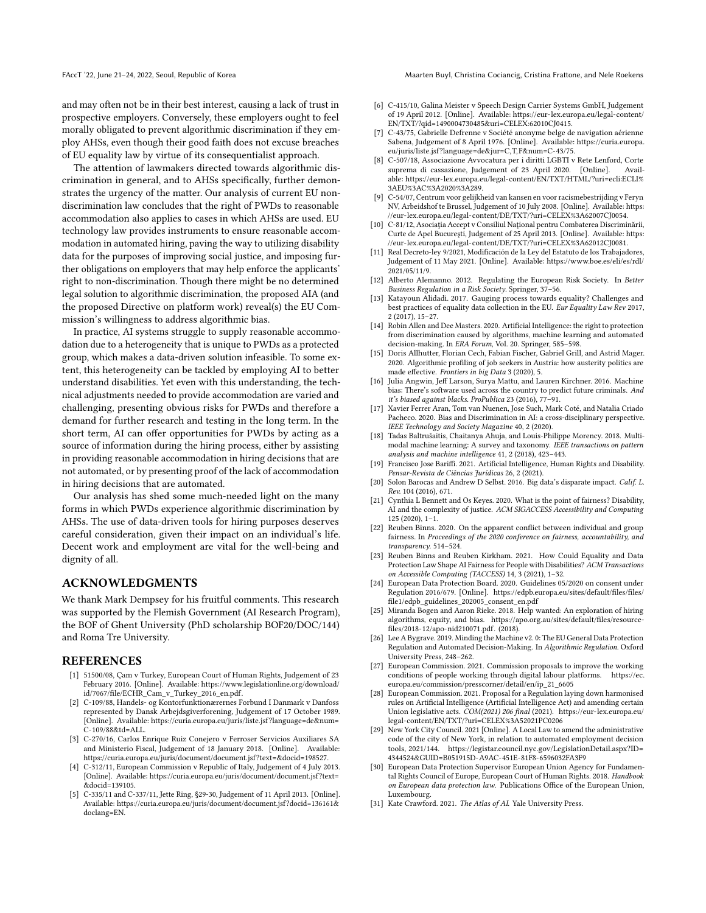FAccT '22, June 21-24, 2022, Seoul, Republic of Korea Maarten Buyl, Christina Cociancig, Cristina Frattone, and Nele Roekens

and may often not be in their best interest, causing a lack of trust in prospective employers. Conversely, these employers ought to feel morally obligated to prevent algorithmic discrimination if they employ AHSs, even though their good faith does not excuse breaches of EU equality law by virtue of its consequentialist approach.

The attention of lawmakers directed towards algorithmic discrimination in general, and to AHSs specifically, further demonstrates the urgency of the matter. Our analysis of current EU nondiscrimination law concludes that the right of PWDs to reasonable accommodation also applies to cases in which AHSs are used. EU technology law provides instruments to ensure reasonable accommodation in automated hiring, paving the way to utilizing disability data for the purposes of improving social justice, and imposing further obligations on employers that may help enforce the applicants' right to non-discrimination. Though there might be no determined legal solution to algorithmic discrimination, the proposed AIA (and the proposed Directive on platform work) reveal(s) the EU Commission's willingness to address algorithmic bias.

In practice, AI systems struggle to supply reasonable accommodation due to a heterogeneity that is unique to PWDs as a protected group, which makes a data-driven solution infeasible. To some extent, this heterogeneity can be tackled by employing AI to better understand disabilities. Yet even with this understanding, the technical adjustments needed to provide accommodation are varied and challenging, presenting obvious risks for PWDs and therefore a demand for further research and testing in the long term. In the short term, AI can offer opportunities for PWDs by acting as a source of information during the hiring process, either by assisting in providing reasonable accommodation in hiring decisions that are not automated, or by presenting proof of the lack of accommodation in hiring decisions that are automated.

Our analysis has shed some much-needed light on the many forms in which PWDs experience algorithmic discrimination by AHSs. The use of data-driven tools for hiring purposes deserves careful consideration, given their impact on an individual's life. Decent work and employment are vital for the well-being and dignity of all.

## ACKNOWLEDGMENTS

We thank Mark Dempsey for his fruitful comments. This research was supported by the Flemish Government (AI Research Program), the BOF of Ghent University (PhD scholarship BOF20/DOC/144) and Roma Tre University.

#### **REFERENCES**

- <span id="page-9-12"></span>[1] 51500/08, Çam v Turkey, European Court of Human Rights, Judgement of 23 February 2016. [Online]. Available: [https://www.legislationline.org/download/](https://www.legislationline.org/download/id/7067/file/ECHR_Cam_v_Turkey_2016_en.pdf) [id/7067/file/ECHR\\_Cam\\_v\\_Turkey\\_2016\\_en.pdf.](https://www.legislationline.org/download/id/7067/file/ECHR_Cam_v_Turkey_2016_en.pdf)
- <span id="page-9-17"></span>[2] C-109/88, Handels- og Kontorfunktionærernes Forbund I Danmark v Danfoss represented by Dansk Arbejdsgiverforening, Judgement of 17 October 1989. [Online]. Available: [https://curia.europa.eu/juris/liste.jsf?language=de&num=](https://curia.europa.eu/juris/liste.jsf?language=de&num=C-109/88&td=ALL) [C-109/88&td=ALL.](https://curia.europa.eu/juris/liste.jsf?language=de&num=C-109/88&td=ALL)
- <span id="page-9-13"></span>[3] C-270/16, Carlos Enrique Ruiz Conejero v Ferroser Servicios Auxiliares SA and Ministerio Fiscal, Judgement of 18 January 2018. [Online]. Available: [https://curia.europa.eu/juris/document/document.jsf?text=&docid=198527.](https://curia.europa.eu/juris/document/document.jsf?text=&docid=198527)
- <span id="page-9-11"></span>[4] C-312/11, European Commission v Republic of Italy, Judgement of 4 July 2013. [Online]. Available: [https://curia.europa.eu/juris/document/document.jsf?text=](https://curia.europa.eu/juris/document/document.jsf?text=&docid=139105) [&docid=139105.](https://curia.europa.eu/juris/document/document.jsf?text=&docid=139105)
- <span id="page-9-10"></span>[5] C-335/11 and C-337/11, Jette Ring, §29-30, Judgement of 11 April 2013. [Online]. Available: [https://curia.europa.eu/juris/document/document.jsf?docid=136161&](https://curia.europa.eu/juris/document/document.jsf?docid=136161&doclang=EN) [doclang=EN.](https://curia.europa.eu/juris/document/document.jsf?docid=136161&doclang=EN)
- <span id="page-9-6"></span>[6] C-415/10, Galina Meister v Speech Design Carrier Systems GmbH, Judgement of 19 April 2012. [Online]. Available: [https://eur-lex.europa.eu/legal-content/](https://eur-lex.europa.eu/legal-content/EN/TXT/?qid=1490004730485&uri=CELEX:62010CJ0415) [EN/TXT/?qid=1490004730485&uri=CELEX:62010CJ0415.](https://eur-lex.europa.eu/legal-content/EN/TXT/?qid=1490004730485&uri=CELEX:62010CJ0415)
- <span id="page-9-9"></span>[7] C-43/75, Gabrielle Defrenne v Société anonyme belge de navigation aérienne Sabena, Judgement of 8 April 1976. [Online]. Available: [https://curia.europa.](https://curia.europa.eu/juris/liste.jsf?language=de&jur=C,T,F&num=C-43/75) [eu/juris/liste.jsf?language=de&jur=C,T,F&num=C-43/75.](https://curia.europa.eu/juris/liste.jsf?language=de&jur=C,T,F&num=C-43/75)
- <span id="page-9-16"></span>[8] C-507/18, Associazione Avvocatura per i diritti LGBTI v Rete Lenford, Corte suprema di cassazione, Judgement of 23 April 2020. [Online]. able: [https://eur-lex.europa.eu/legal-content/EN/TXT/HTML/?uri=ecli:ECLI%](https://eur-lex.europa.eu/legal-content/EN/TXT/HTML/?uri=ecli:ECLI%3AEU%3AC%3A2020%3A289) [3AEU%3AC%3A2020%3A289.](https://eur-lex.europa.eu/legal-content/EN/TXT/HTML/?uri=ecli:ECLI%3AEU%3AC%3A2020%3A289)
- <span id="page-9-14"></span>[9] C-54/07, Centrum voor gelijkheid van kansen en voor racismebestrijding v Feryn NV, Arbeidshof te Brussel, Judgement of 10 July 2008. [Online]. Available: [https:](https://eur-lex.europa.eu/legal-content/DE/TXT/?uri=CELEX%3A62007CJ0054) [//eur-lex.europa.eu/legal-content/DE/TXT/?uri=CELEX%3A62007CJ0054.](https://eur-lex.europa.eu/legal-content/DE/TXT/?uri=CELEX%3A62007CJ0054)
- <span id="page-9-15"></span>[10] C-81/12, Asociaţia Accept v Consiliul Naţional pentru Combaterea Discriminării, Curte de Apel Bucureşti, Judgement of 25 April 2013. [Online]. Available: [https:](https://eur-lex.europa.eu/legal-content/DE/TXT/?uri=CELEX%3A62012CJ0081) [//eur-lex.europa.eu/legal-content/DE/TXT/?uri=CELEX%3A62012CJ0081.](https://eur-lex.europa.eu/legal-content/DE/TXT/?uri=CELEX%3A62012CJ0081)
- <span id="page-9-26"></span>[11] Real Decreto-ley 9/2021, Modificación de la Ley del Estatuto de los Trabajadores, Judgement of 11 May 2021. [Online]. Available: [https://www.boe.es/eli/es/rdl/](https://www.boe.es/eli/es/rdl/2021/05/11/9) [2021/05/11/9.](https://www.boe.es/eli/es/rdl/2021/05/11/9)
- <span id="page-9-25"></span>[12] Alberto Alemanno. 2012. Regulating the European Risk Society. In Better Business Regulation in a Risk Society. Springer, 37–56.
- <span id="page-9-23"></span>[13] Katayoun Alidadi. 2017. Gauging process towards equality? Challenges and best practices of equality data collection in the EU. Eur Equality Law Rev 2017, 2 (2017), 15–27.
- <span id="page-9-27"></span>[14] Robin Allen and Dee Masters. 2020. Artificial Intelligence: the right to protection from discrimination caused by algorithms, machine learning and automated decision-making. In ERA Forum, Vol. 20. Springer, 585–598.
- <span id="page-9-7"></span>[15] Doris Allhutter, Florian Cech, Fabian Fischer, Gabriel Grill, and Astrid Mager. 2020. Algorithmic profiling of job seekers in Austria: how austerity politics are made effective. Frontiers in big Data 3 (2020), 5.
- <span id="page-9-18"></span>[16] Julia Angwin, Jeff Larson, Surya Mattu, and Lauren Kirchner. 2016. Machine bias: There's software used across the country to predict future criminals. And it's biased against blacks. ProPublica 23 (2016), 77–91.
- <span id="page-9-2"></span>[17] Xavier Ferrer Aran, Tom van Nuenen, Jose Such, Mark Coté, and Natalia Criado Pacheco. 2020. Bias and Discrimination in AI: a cross-disciplinary perspective. IEEE Technology and Society Magazine 40, 2 (2020).
- <span id="page-9-29"></span>[18] Tadas Baltrušaitis, Chaitanya Ahuja, and Louis-Philippe Morency. 2018. Multimodal machine learning: A survey and taxonomy. IEEE transactions on pattern analysis and machine intelligence 41, 2 (2018), 423–443.
- <span id="page-9-3"></span>[19] Francisco Jose Bariffi. 2021. Artificial Intelligence, Human Rights and Disability. Pensar-Revista de Ciências Jurídicas 26, 2 (2021).
- <span id="page-9-1"></span>[20] Solon Barocas and Andrew D Selbst. 2016. Big data's disparate impact. Calif. L. Rev. 104 (2016), 671.
- <span id="page-9-28"></span>[21] Cynthia L Bennett and Os Keyes. 2020. What is the point of fairness? Disability, AI and the complexity of justice. ACM SIGACCESS Accessibility and Computing 125 (2020), 1–1.
- <span id="page-9-8"></span>[22] Reuben Binns. 2020. On the apparent conflict between individual and group fairness. In Proceedings of the 2020 conference on fairness, accountability, and transparency. 514–524.
- <span id="page-9-21"></span>[23] Reuben Binns and Reuben Kirkham. 2021. How Could Equality and Data Protection Law Shape AI Fairness for People with Disabilities? ACM Transactions on Accessible Computing (TACCESS) 14, 3 (2021), 1–32.
- <span id="page-9-22"></span>[24] European Data Protection Board. 2020. Guidelines 05/2020 on consent under Regulation 2016/679. [Online]. [https://edpb.europa.eu/sites/default/files/files/](https://edpb.europa.eu/sites/default/files/files/file1/edpb_guidelines_202005_consent_en.pdf) [file1/edpb\\_guidelines\\_202005\\_consent\\_en.pdf](https://edpb.europa.eu/sites/default/files/files/file1/edpb_guidelines_202005_consent_en.pdf)
- <span id="page-9-30"></span>[25] Miranda Bogen and Aaron Rieke. 2018. Help wanted: An exploration of hiring algorithms, equity, and bias. [https://apo.org.au/sites/default/files/resource](https://apo.org.au/sites/default/files/resource-files/2018-12/apo-nid210071.pdf)[files/2018-12/apo-nid210071.pdf.](https://apo.org.au/sites/default/files/resource-files/2018-12/apo-nid210071.pdf) (2018).
- <span id="page-9-24"></span>[26] Lee A Bygrave. 2019. Minding the Machine v2. 0: The EU General Data Protection Regulation and Automated Decision-Making. In Algorithmic Regulation. Oxford University Press, 248–262.
- <span id="page-9-4"></span>[27] European Commission. 2021. Commission proposals to improve the working conditions of people working through digital labour platforms. [https://ec.](https://ec.europa.eu/commission/presscorner/detail/en/ip_21_6605) [europa.eu/commission/presscorner/detail/en/ip\\_21\\_6605](https://ec.europa.eu/commission/presscorner/detail/en/ip_21_6605)
- <span id="page-9-0"></span>[28] European Commission. 2021. Proposal for a Regulation laying down harmonised rules on Artificial Intelligence (Artificial Intelligence Act) and amending certain Union legislative acts.  $COM(2021)$  206 final (2021). [https://eur-lex.europa.eu/](https://eur-lex.europa.eu/legal-content/EN/TXT/?uri=CELEX%3A52021PC0206) [legal-content/EN/TXT/?uri=CELEX%3A52021PC0206](https://eur-lex.europa.eu/legal-content/EN/TXT/?uri=CELEX%3A52021PC0206)
- <span id="page-9-5"></span>[29] New York City Council. 2021 [Online]. A Local Law to amend the administrative code of the city of New York, in relation to automated employment decision tools, 2021/144. [https://legistar.council.nyc.gov/LegislationDetail.aspx?ID=](https://legistar.council.nyc.gov/LegislationDetail.aspx?ID=4344524&GUID=B051915D-A9AC-451E-81F8-6596032FA3F9) [4344524&GUID=B051915D-A9AC-451E-81F8-6596032FA3F9](https://legistar.council.nyc.gov/LegislationDetail.aspx?ID=4344524&GUID=B051915D-A9AC-451E-81F8-6596032FA3F9)
- <span id="page-9-20"></span>[30] European Data Protection Supervisor European Union Agency for Fundamental Rights Council of Europe, European Court of Human Rights. 2018. Handbook on European data protection law. Publications Office of the European Union, Luxembourg.
- <span id="page-9-19"></span>[31] Kate Crawford. 2021. The Atlas of AI. Yale University Press.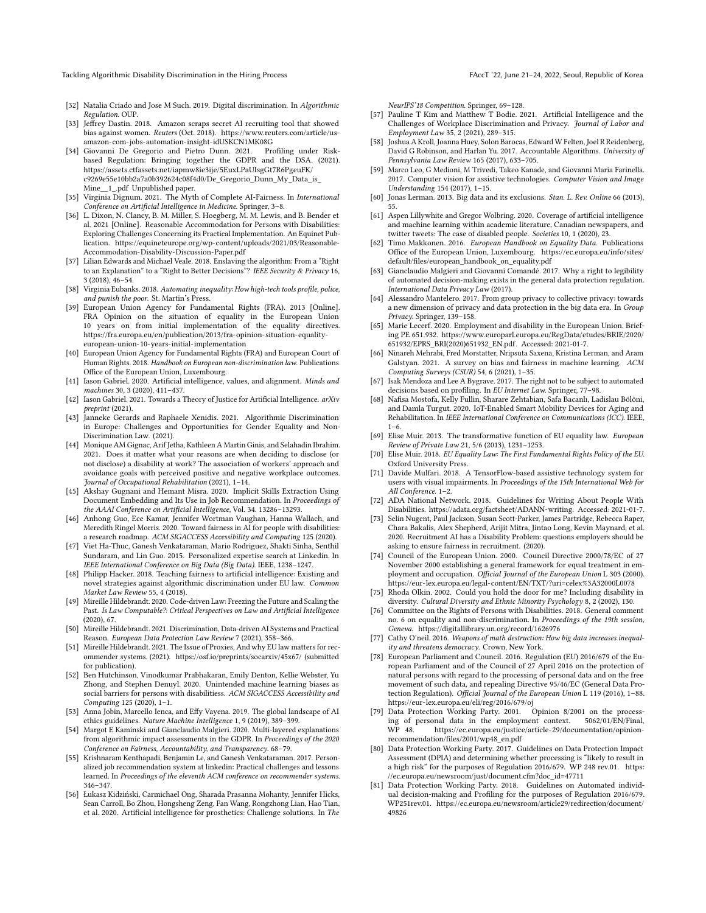Tackling Algorithmic Disability Discrimination in the Hiring Process FACCT '22, June 21-24, 2022, Seoul, Republic of Korea

- <span id="page-10-18"></span>[32] Natalia Criado and Jose M Such. 2019. Digital discrimination. In Algorithmic Regulation. OUP
- <span id="page-10-46"></span>[33] Jeffrey Dastin. 2018. Amazon scraps secret AI recruiting tool that showed bias against women. Reuters (Oct. 2018). [https://www.reuters.com/article/us](https://www.reuters.com/article/us-amazon-com-jobs-automation-insight-idUSKCN1MK08G)[amazon-com-jobs-automation-insight-idUSKCN1MK08G](https://www.reuters.com/article/us-amazon-com-jobs-automation-insight-idUSKCN1MK08G)
- <span id="page-10-37"></span>[34] Giovanni De Gregorio and Pietro Dunn. 2021. based Regulation: Bringing together the GDPR and the DSA. (2021). [https://assets.ctfassets.net/iapmw8ie3ije/5EuxLPaUIsgGt7R6PgeuFK/](https://assets.ctfassets.net/iapmw8ie3ije/5EuxLPaUIsgGt7R6PgeuFK/c9269e55e10bb2a7a0b392624c08f4d0/De_Gregorio_Dunn_My_Data_is_Mine__1_.pdf) [c9269e55e10bb2a7a0b392624c08f4d0/De\\_Gregorio\\_Dunn\\_My\\_Data\\_is\\_](https://assets.ctfassets.net/iapmw8ie3ije/5EuxLPaUIsgGt7R6PgeuFK/c9269e55e10bb2a7a0b392624c08f4d0/De_Gregorio_Dunn_My_Data_is_Mine__1_.pdf) [Mine\\_\\_1\\_.pdf](https://assets.ctfassets.net/iapmw8ie3ije/5EuxLPaUIsgGt7R6PgeuFK/c9269e55e10bb2a7a0b392624c08f4d0/De_Gregorio_Dunn_My_Data_is_Mine__1_.pdf) Unpublished paper.
- <span id="page-10-19"></span>[35] Virginia Dignum. 2021. The Myth of Complete AI-Fairness. In International Conference on Artificial Intelligence in Medicine. Springer, 3–8.
- <span id="page-10-13"></span>[36] L. Dixon, N. Clancy, B. M. Miller, S. Hoegberg, M. M. Lewis, and B. Bender et al. 2021 [Online]. Reasonable Accommodation for Persons with Disabilities: Exploring Challenges Concerning its Practical Implementation. An Equinet Publication. [https://equineteurope.org/wp-content/uploads/2021/03/Reasonable-](https://equineteurope.org/wp-content/uploads/2021/03/Reasonable-Accommodation-Disability-Discussion-Paper.pdf)[Accommodation-Disability-Discussion-Paper.pdf](https://equineteurope.org/wp-content/uploads/2021/03/Reasonable-Accommodation-Disability-Discussion-Paper.pdf)
- <span id="page-10-33"></span>[37] Lilian Edwards and Michael Veale. 2018. Enslaving the algorithm: From a "Right to an Explanation" to a "Right to Better Decisions"? IEEE Security & Privacy 16, 3 (2018), 46–54.
- <span id="page-10-22"></span>[38] Virginia Eubanks. 2018. Automating inequality: How high-tech tools profile, police, and punish the poor. St. Martin's Press.
- <span id="page-10-32"></span>[39] European Union Agency for Fundamental Rights (FRA). 2013 [Online]. FRA Opinion on the situation of equality in the European Union 10 years on from initial implementation of the equality directives. [https://fra.europa.eu/en/publication/2013/fra-opinion-situation-equality](https://fra.europa.eu/en/publication/2013/fra-opinion-situation-equality-european-union-10-years-initial-implementation)[european-union-10-years-initial-implementation](https://fra.europa.eu/en/publication/2013/fra-opinion-situation-equality-european-union-10-years-initial-implementation)
- <span id="page-10-11"></span>[40] European Union Agency for Fundamental Rights (FRA) and European Court of Human Rights. 2018. Handbook on European non-discrimination law. Publications Office of the European Union, Luxembourg.
- <span id="page-10-15"></span>[41] Iason Gabriel. 2020. Artificial intelligence, values, and alignment. Minds and machines 30, 3 (2020), 411–437.
- <span id="page-10-16"></span>[42] Iason Gabriel. 2021. Towards a Theory of Justice for Artificial Intelligence. arXiv preprint (2021).
- <span id="page-10-10"></span>[43] Janneke Gerards and Raphaele Xenidis. 2021. Algorithmic Discrimination in Europe: Challenges and Opportunities for Gender Equality and Non-Discrimination Law. (2021).
- <span id="page-10-8"></span>[44] Monique AM Gignac, Arif Jetha, Kathleen A Martin Ginis, and Selahadin Ibrahim. 2021. Does it matter what your reasons are when deciding to disclose (or not disclose) a disability at work? The association of workers' approach and avoidance goals with perceived positive and negative workplace outcomes. Journal of Occupational Rehabilitation (2021), 1–14.
- <span id="page-10-47"></span>[45] Akshay Gugnani and Hemant Misra. 2020. Implicit Skills Extraction Using Document Embedding and Its Use in Job Recommendation. In Proceedings of the AAAI Conference on Artificial Intelligence, Vol. 34. 13286–13293.
- <span id="page-10-45"></span>[46] Anhong Guo, Ece Kamar, Jennifer Wortman Vaughan, Hanna Wallach, and Meredith Ringel Morris. 2020. Toward fairness in AI for people with disabilities: a research roadmap. ACM SIGACCESS Accessibility and Computing 125 (2020).
- <span id="page-10-48"></span>[47] Viet Ha-Thuc, Ganesh Venkataraman, Mario Rodriguez, Shakti Sinha, Senthil Sundaram, and Lin Guo. 2015. Personalized expertise search at Linkedin. In IEEE International Conference on Big Data (Big Data). IEEE, 1238–1247.
- <span id="page-10-0"></span>[48] Philipp Hacker. 2018. Teaching fairness to artificial intelligence: Existing and novel strategies against algorithmic discrimination under EU law. Common Market Law Review 55, 4 (2018).
- <span id="page-10-24"></span>[49] Mireille Hildebrandt. 2020. Code-driven Law: Freezing the Future and Scaling the Past. Is Law Computable?: Critical Perspectives on Law and Artificial Intelligence (2020), 67.
- <span id="page-10-20"></span>[50] Mireille Hildebrandt. 2021. Discrimination, Data-driven AI Systems and Practical Reason. European Data Protection Law Review 7 (2021), 358–366.
- <span id="page-10-25"></span>[51] Mireille Hildebrandt. 2021. The Issue of Proxies, And why EU law matters for recommender systems. (2021).<https://osf.io/preprints/socarxiv/45x67/> (submitted for publication).
- <span id="page-10-44"></span>[52] Ben Hutchinson, Vinodkumar Prabhakaran, Emily Denton, Kellie Webster, Yu Zhong, and Stephen Denuyl. 2020. Unintended machine learning biases as social barriers for persons with disabilitiess. ACM SIGACCESS Accessibility and Computing 125 (2020), 1–1.
- <span id="page-10-7"></span>[53] Anna Jobin, Marcello Ienca, and Effy Vayena. 2019. The global landscape of AI ethics guidelines. Nature Machine Intelligence 1, 9 (2019), 389–399.
- <span id="page-10-39"></span>[54] Margot E Kaminski and Gianclaudio Malgieri. 2020. Multi-layered explanations from algorithmic impact assessments in the GDPR. In Proceedings of the 2020 Conference on Fairness, Accountability, and Transparency. 68–79.
- <span id="page-10-49"></span>[55] Krishnaram Kenthapadi, Benjamin Le, and Ganesh Venkataraman. 2017. Personalized job recommendation system at linkedin: Practical challenges and lessons learned. In Proceedings of the eleventh ACM conference on recommender systems. 346–347.
- <span id="page-10-40"></span>[56] Łukasz Kidziński, Carmichael Ong, Sharada Prasanna Mohanty, Jennifer Hicks, Sean Carroll, Bo Zhou, Hongsheng Zeng, Fan Wang, Rongzhong Lian, Hao Tian, et al. 2020. Artificial intelligence for prosthetics: Challenge solutions. In The

NeurIPS'18 Competition. Springer, 69–128.

- <span id="page-10-31"></span>[57] Pauline T Kim and Matthew T Bodie. 2021. Artificial Intelligence and the Challenges of Workplace Discrimination and Privacy. Journal of Labor and Employment Law 35, 2 (2021), 289–315.
- <span id="page-10-26"></span>[58] Joshua A Kroll, Joanna Huey, Solon Barocas, Edward W Felten, Joel R Reidenberg, David G Robinson, and Harlan Yu. 2017. Accountable Algorithms. University of Pennsylvania Law Review 165 (2017), 633–705.
- <span id="page-10-41"></span>[59] Marco Leo, G Medioni, M Trivedi, Takeo Kanade, and Giovanni Maria Farinella. 2017. Computer vision for assistive technologies. Computer Vision and Image Understanding 154 (2017), 1–15.
- <span id="page-10-21"></span>[60] Jonas Lerman. 2013. Big data and its exclusions. Stan. L. Rev. Online 66 (2013), 55.
- <span id="page-10-6"></span>[61] Aspen Lillywhite and Gregor Wolbring. 2020. Coverage of artificial intelligence and machine learning within academic literature, Canadian newspapers, and twitter tweets: The case of disabled people. Societies 10, 1 (2020), 23.
- <span id="page-10-17"></span>[62] Timo Makkonen. 2016. European Handbook on Equality Data. Publications Office of the European Union, Luxembourg. [https://ec.europa.eu/info/sites/](https://ec.europa.eu/info/sites/default/files/european_handbook_on_equality.pdf) [default/files/european\\_handbook\\_on\\_equality.pdf](https://ec.europa.eu/info/sites/default/files/european_handbook_on_equality.pdf)
- <span id="page-10-34"></span>[63] Gianclaudio Malgieri and Giovanni Comandé. 2017. Why a right to legibility of automated decision-making exists in the general data protection regulation. International Data Privacy Law (2017).
- <span id="page-10-29"></span>[64] Alessandro Mantelero. 2017. From group privacy to collective privacy: towards a new dimension of privacy and data protection in the big data era. In Group Privacy. Springer, 139–158.
- <span id="page-10-9"></span>[65] Marie Lecerf. 2020. Employment and disability in the European Union. Briefing PE 651.932. [https://www.europarl.europa.eu/RegData/etudes/BRIE/2020/](https://www.europarl.europa.eu/RegData/etudes/BRIE/2020/651932/EPRS_BRI(2020)651932_EN.pdf) [651932/EPRS\\_BRI\(2020\)651932\\_EN.pdf.](https://www.europarl.europa.eu/RegData/etudes/BRIE/2020/651932/EPRS_BRI(2020)651932_EN.pdf) Accessed: 2021-01-7.
- <span id="page-10-1"></span>[66] Ninareh Mehrabi, Fred Morstatter, Nripsuta Saxena, Kristina Lerman, and Aram Galstyan. 2021. A survey on bias and fairness in machine learning. ACM Computing Surveys (CSUR) 54, 6 (2021), 1–35.
- <span id="page-10-35"></span>[67] Isak Mendoza and Lee A Bygrave. 2017. The right not to be subject to automated decisions based on profiling. In EU Internet Law. Springer, 77–98.
- <span id="page-10-42"></span>[68] Nafisa Mostofa, Kelly Fullin, Sharare Zehtabian, Safa Bacanlı, Ladislau Bölöni, and Damla Turgut. 2020. IoT-Enabled Smart Mobility Devices for Aging and Rehabilitation. In IEEE International Conference on Communications (ICC). IEEE,  $1 - 6$
- <span id="page-10-38"></span>[69] Elise Muir. 2013. The transformative function of EU equality law. European Review of Private Law 21, 5/6 (2013), 1231–1253.
- <span id="page-10-12"></span>[70] Elise Muir. 2018. EU Equality Law: The First Fundamental Rights Policy of the EU. Oxford University Press.
- <span id="page-10-43"></span>[71] Davide Mulfari. 2018. A TensorFlow-based assistive technology system for users with visual impairments. In Proceedings of the 15th International Web for All Conference. 1–2.
- <span id="page-10-3"></span>[72] ADA National Network. 2018. Guidelines for Writing About People With Disabilities. [https://adata.org/factsheet/ADANN-writing.](https://adata.org/factsheet/ADANN-writing) Accessed: 2021-01-7.
- <span id="page-10-27"></span>[73] Selin Nugent, Paul Jackson, Susan Scott-Parker, James Partridge, Rebecca Raper, Chara Bakalis, Alex Shepherd, Arijit Mitra, Jintao Long, Kevin Maynard, et al. 2020. Recruitment AI has a Disability Problem: questions employers should be asking to ensure fairness in recruitment. (2020).
- <span id="page-10-4"></span>[74] Council of the European Union. 2000. Council Directive 2000/78/EC of 27 November 2000 establishing a general framework for equal treatment in employment and occupation. Official Journal of the European Union L 303 (2000). <https://eur-lex.europa.eu/legal-content/EN/TXT/?uri=celex%3A32000L0078>
- <span id="page-10-2"></span>[75] Rhoda Olkin. 2002. Could you hold the door for me? Including disability in diversity. Cultural Diversity and Ethnic Minority Psychology 8, 2 (2002), 130.
- <span id="page-10-14"></span>[76] Committee on the Rights of Persons with Disabilities. 2018. General comment no. 6 on equality and non-discrimination. In Proceedings of the 19th session, Geneva.<https://digitallibrary.un.org/record/1626976>
- <span id="page-10-23"></span>[77] Cathy O'neil. 2016. Weapons of math destruction: How big data increases inequality and threatens democracy. Crown, New York.
- <span id="page-10-5"></span>[78] European Parliament and Council. 2016. Regulation (EU) 2016/679 of the European Parliament and of the Council of 27 April 2016 on the protection of natural persons with regard to the processing of personal data and on the free movement of such data, and repealing Directive 95/46/EC (General Data Protection Regulation). Official Journal of the European Union L 119 (2016), 1–88. <https://eur-lex.europa.eu/eli/reg/2016/679/oj>
- <span id="page-10-28"></span>[79] Data Protection Working Party. 2001. Opinion 8/2001 on the processing of personal data in the employment context.<br>WP 48. https://ec.europa.eu/justice/article-29/docu https://ec.europa.eu/justice/article-29/documentation/opinion[recommendation/files/2001/wp48\\_en.pdf](https://ec.europa.eu/justice/article-29/documentation/opinion-recommendation/files/2001/wp48_en.pdf)
- <span id="page-10-36"></span>[80] Data Protection Working Party. 2017. Guidelines on Data Protection Impact Assessment (DPIA) and determining whether processing is "likely to result in a high risk" for the purposes of Regulation 2016/679. WP 248 rev.01. [https:](https://ec.europa.eu/newsroom/just/document.cfm?doc_id=47711) [//ec.europa.eu/newsroom/just/document.cfm?doc\\_id=47711](https://ec.europa.eu/newsroom/just/document.cfm?doc_id=47711)
- <span id="page-10-30"></span>[81] Data Protection Working Party. 2018. Guidelines on Automated individual decision-making and Profiling for the purposes of Regulation 2016/679. WP251rev.01. [https://ec.europa.eu/newsroom/article29/redirection/document/](https://ec.europa.eu/newsroom/article29/redirection/document/49826) [49826](https://ec.europa.eu/newsroom/article29/redirection/document/49826)